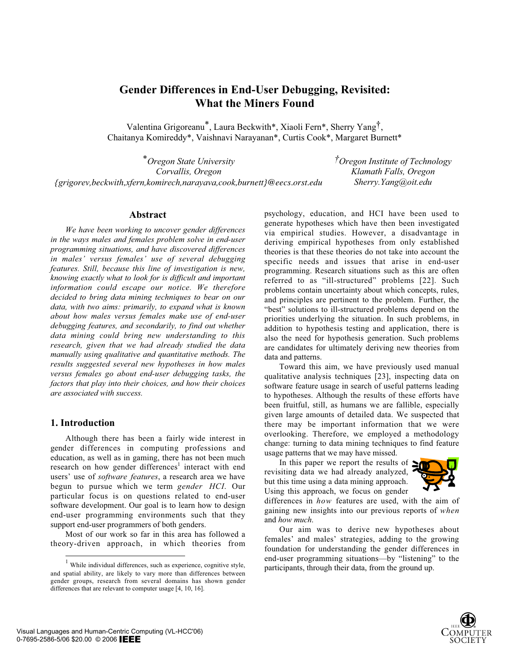# Gender Differences in End-User Debugging, Revisited: What the Miners Found

Valentina Grigoreanu\*, Laura Beckwith\*, Xiaoli Fern\*, Sherry Yang†, Chaitanya Komireddy\*, Vaishnavi Narayanan\*, Curtis Cook\*, Margaret Burnett\*

\*Oregon State University Corvallis, Oregon *{*grigorev,*beckwith,x*fern,komirech,narayava,*cook,burnett}@eecs.orst.edu* †Oregon Institute of Technology Klamath Falls, Oregon Sherry.Yang@oit.edu

## Abstract

We have been working to uncover gender differences in the ways males and females problem solve in end-user programming situations, and have discovered differences in males' versus females' use of several debugging features. Still, because this line of investigation is new, knowing exactly what to look for is difficult and important information could escape our notice. We therefore decided to bring data mining techniques to bear on our data, with two aims: primarily, to expand what is known about how males versus females make use of end-user debugging features, and secondarily, to find out whether data mining could bring new understanding to this research, given that we had already studied the data manually using qualitative and quantitative methods. The results suggested several new hypotheses in how males versus females go about end-user debugging tasks, the factors that play into their choices, and how their choices are associated with success.

## 1. Introduction

Although there has been a fairly wide interest in gender differences in computing professions and education, as well as in gaming, there has not been much research on how gender differences<sup>1</sup> interact with end users' use of software features, a research area we have begun to pursue which we term gender HCI. Our particular focus is on questions related to end-user software development. Our goal is to learn how to design end-user programming environments such that they support end-user programmers of both genders.

Most of our work so far in this area has followed a theory-driven approach, in which theories from psychology, education, and HCI have been used to generate hypotheses which have then been investigated via empirical studies. However, a disadvantage in deriving empirical hypotheses from only established theories is that these theories do not take into account the specific needs and issues that arise in end-user programming. Research situations such as this are often referred to as "ill-structured" problems [22]. Such problems contain uncertainty about which concepts, rules, and principles are pertinent to the problem. Further, the "best" solutions to ill-structured problems depend on the priorities underlying the situation. In such problems, in addition to hypothesis testing and application, there is also the need for hypothesis generation. Such problems are candidates for ultimately deriving new theories from data and patterns.

Toward this aim, we have previously used manual qualitative analysis techniques [23], inspecting data on software feature usage in search of useful patterns leading to hypotheses. Although the results of these efforts have been fruitful, still, as humans we are fallible, especially given large amounts of detailed data. We suspected that there may be important information that we were overlooking. Therefore, we employed a methodology change: turning to data mining techniques to find feature usage patterns that we may have missed.

In this paper we report the results of  $\sum$ revisiting data we had already analyzed, but this time using a data mining approach. Using this approach, we focus on gender



differences in how features are used, with the aim of gaining new insights into our previous reports of when and how much.

Our aim was to derive new hypotheses about females' and males' strategies, adding to the growing foundation for understanding the gender differences in end-user programming situations—by "listening" to the participants, through their data, from the ground up.



 $1$  While individual differences, such as experience, cognitive style, and spatial ability, are likely to vary more than differences between gender groups, research from several domains has shown gender differences that are relevant to computer usage [4, 10, 16].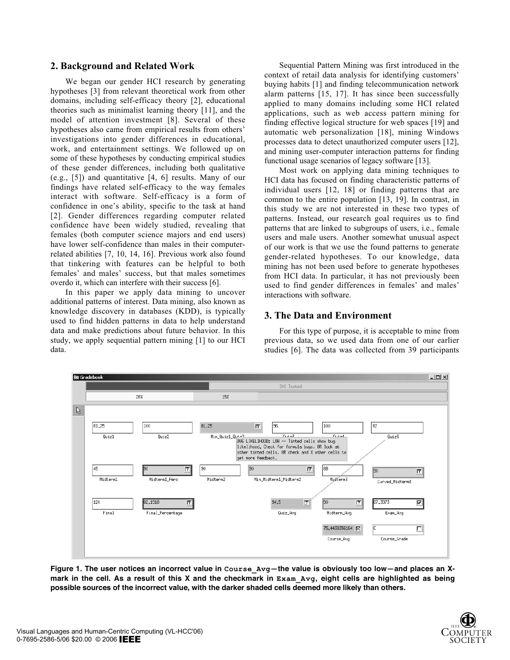## 2. Background and Related Work

We began our gender HCI research by generating hypotheses [3] from relevant theoretical work from other domains, including self-efficacy theory [2], educational theories such as minimalist learning theory [11], and the model of attention investment [8]. Several of these hypotheses also came from empirical results from others' investigations into gender differences in educational, work, and entertainment settings. We followed up on some of these hypotheses by conducting empirical studies of these gender differences, including both qualitative (e.g., [5]) and quantitative [4, 6] results. Many of our findings have related self-efficacy to the way females interact with software. Self-efficacy is a form of confidence in one's ability, specific to the task at hand [2]. Gender differences regarding computer related confidence have been widely studied, revealing that females (both computer science majors and end users) have lower self-confidence than males in their computerrelated abilities [7, 10, 14, 16]. Previous work also found that tinkering with features can be helpful to both females' and males' success, but that males sometimes overdo it, which can interfere with their success [6].

In this paper we apply data mining to uncover additional patterns of interest. Data mining, also known as knowledge discovery in databases (KDD), is typically used to find hidden patterns in data to help understand data and make predictions about future behavior. In this study, we apply sequential pattern mining [1] to our HCI data.

Sequential Pattern Mining was first introduced in the context of retail data analysis for identifying customers' buying habits [1] and finding telecommunication network alarm patterns [15, 17]. It has since been successfully applied to many domains including some HCI related applications, such as web access pattern mining for finding effective logical structure for web spaces [19] and automatic web personalization [18], mining Windows processes data to detect unauthorized computer users [12], and mining user-computer interaction patterns for finding functional usage scenarios of legacy software [13].

Most work on applying data mining techniques to HCI data has focused on finding characteristic patterns of individual users [12, 18] or finding patterns that are common to the entire population [13, 19]. In contrast, in this study we are not interested in these two types of patterns. Instead, our research goal requires us to find patterns that are linked to subgroups of users, i.e., female users and male users. Another somewhat unusual aspect of our work is that we use the found patterns to generate gender-related hypotheses. To our knowledge, data mining has not been used before to generate hypotheses from HCI data. In particular, it has not previously been used to find gender differences in females' and males' interactions with software.

## 3. The Data and Environment

For this type of purpose, it is acceptable to mine from previous data, so we used data from one of our earlier studies [6]. The data was collected from 39 participants



**Figure 1. The user notices an incorrect value in Course\_Avg—the value is obviously too low—and places an Xmark in the cell. As a result of this X and the checkmark in Exam\_Avg, eight cells are highlighted as being possible sources of the incorrect value, with the darker shaded cells deemed more likely than others.**

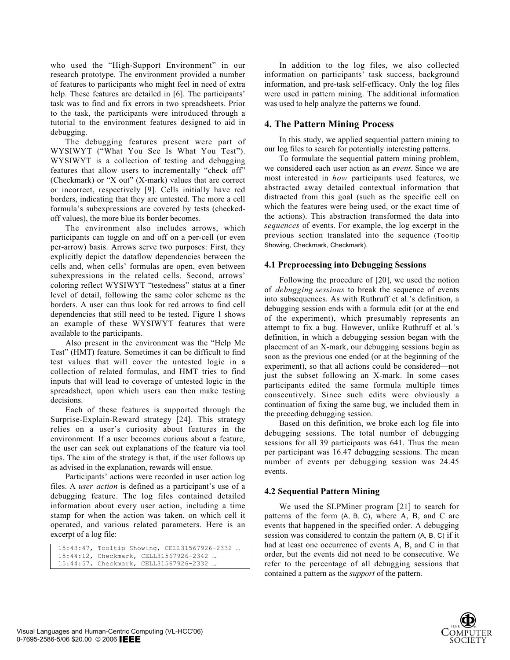who used the "High-Support Environment" in our research prototype. The environment provided a number of features to participants who might feel in need of extra help. These features are detailed in [6]. The participants' task was to find and fix errors in two spreadsheets. Prior to the task, the participants were introduced through a tutorial to the environment features designed to aid in debugging.

The debugging features present were part of WYSIWYT ("What You See Is What You Test"). WYSIWYT is a collection of testing and debugging features that allow users to incrementally "check off" (Checkmark) or "X out" (X-mark) values that are correct or incorrect, respectively [9]. Cells initially have red borders, indicating that they are untested. The more a cell formula's subexpressions are covered by tests (checkedoff values), the more blue its border becomes.

The environment also includes arrows, which participants can toggle on and off on a per-cell (or even per-arrow) basis. Arrows serve two purposes: First, they explicitly depict the dataflow dependencies between the cells and, when cells' formulas are open, even between subexpressions in the related cells. Second, arrows' coloring reflect WYSIWYT "testedness" status at a finer level of detail, following the same color scheme as the borders. A user can thus look for red arrows to find cell dependencies that still need to be tested. Figure 1 shows an example of these WYSIWYT features that were available to the participants.

Also present in the environment was the "Help Me Test" (HMT) feature. Sometimes it can be difficult to find test values that will cover the untested logic in a collection of related formulas, and HMT tries to find inputs that will lead to coverage of untested logic in the spreadsheet, upon which users can then make testing decisions.

Each of these features is supported through the Surprise-Explain-Reward strategy [24]. This strategy relies on a user's curiosity about features in the environment. If a user becomes curious about a feature, the user can seek out explanations of the feature via tool tips. The aim of the strategy is that, if the user follows up as advised in the explanation, rewards will ensue.

Participants' actions were recorded in user action log files. A user action is defined as a participant's use of a debugging feature. The log files contained detailed information about every user action, including a time stamp for when the action was taken, on which cell it operated, and various related parameters. Here is an excerpt of a log file:

|  | 15:43:47, Tooltip Showing, CELL31567926-2332 |
|--|----------------------------------------------|
|  | 15:44:12, Checkmark, CELL31567926-2342       |
|  | 15:44:57, Checkmark, CELL31567926-2332       |
|  |                                              |

In addition to the log files, we also collected information on participants' task success, background information, and pre-task self-efficacy. Only the log files were used in pattern mining. The additional information was used to help analyze the patterns we found.

## 4. The Pattern Mining Process

In this study, we applied sequential pattern mining to our log files to search for potentially interesting patterns.

To formulate the sequential pattern mining problem, we considered each user action as an event. Since we are most interested in how participants used features, we abstracted away detailed contextual information that distracted from this goal (such as the specific cell on which the features were being used, or the exact time of the actions). This abstraction transformed the data into sequences of events. For example, the log excerpt in the previous section translated into the sequence (Tooltip Showing, Checkmark, Checkmark).

## 4.1 Preprocessing into Debugging Sessions

Following the procedure of [20], we used the notion of debugging sessions to break the sequence of events into subsequences. As with Ruthruff et al.'s definition, a debugging session ends with a formula edit (or at the end of the experiment), which presumably represents an attempt to fix a bug. However, unlike Ruthruff et al.'s definition, in which a debugging session began with the placement of an X-mark, our debugging sessions begin as soon as the previous one ended (or at the beginning of the experiment), so that all actions could be considered—not just the subset following an X-mark. In some cases participants edited the same formula multiple times consecutively. Since such edits were obviously a continuation of fixing the same bug, we included them in the preceding debugging session.

Based on this definition, we broke each log file into debugging sessions. The total number of debugging sessions for all 39 participants was 641. Thus the mean per participant was 16.47 debugging sessions. The mean number of events per debugging session was 24.45 events.

## 4.2 Sequential Pattern Mining

We used the SLPMiner program [21] to search for patterns of the form (A, B, C), where A, B, and C are events that happened in the specified order. A debugging session was considered to contain the pattern (A, B, C) if it had at least one occurrence of events A, B, and C in that order, but the events did not need to be consecutive. We refer to the percentage of all debugging sessions that contained a pattern as the support of the pattern.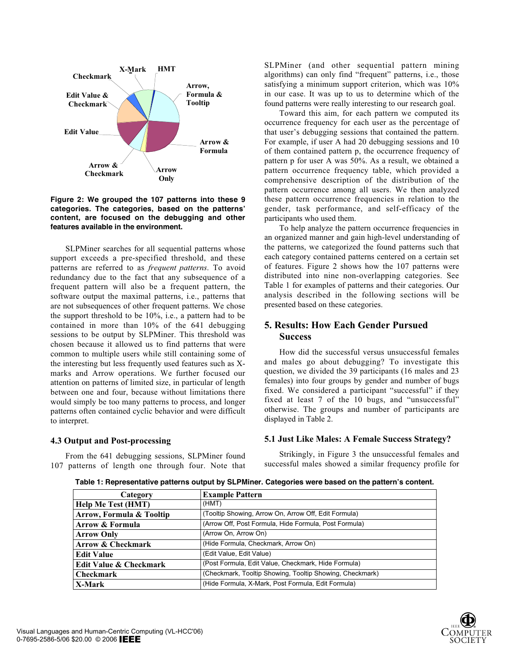

**Figure 2: We grouped the 107 patterns into these 9** categories. The categories, based on the patterns' **content, are focused on the debugging and other features available in the environment.**

SLPMiner searches for all sequential patterns whose support exceeds a pre-specified threshold, and these patterns are referred to as frequent patterns. To avoid redundancy due to the fact that any subsequence of a frequent pattern will also be a frequent pattern, the software output the maximal patterns, i.e., patterns that are not subsequences of other frequent patterns. We chose the support threshold to be 10%, i.e., a pattern had to be contained in more than 10% of the 641 debugging sessions to be output by SLPMiner. This threshold was chosen because it allowed us to find patterns that were common to multiple users while still containing some of the interesting but less frequently used features such as Xmarks and Arrow operations. We further focused our attention on patterns of limited size, in particular of length between one and four, because without limitations there would simply be too many patterns to process, and longer patterns often contained cyclic behavior and were difficult to interpret.

## 4.3 Output and Post-processing

From the 641 debugging sessions, SLPMiner found 107 patterns of length one through four. Note that SLPMiner (and other sequential pattern mining algorithms) can only find "frequent" patterns, i.e., those satisfying a minimum support criterion, which was 10% in our case. It was up to us to determine which of the found patterns were really interesting to our research goal.

Toward this aim, for each pattern we computed its occurrence frequency for each user as the percentage of that user's debugging sessions that contained the pattern. For example, if user A had 20 debugging sessions and 10 of them contained pattern p, the occurrence frequency of pattern p for user A was 50%. As a result, we obtained a pattern occurrence frequency table, which provided a comprehensive description of the distribution of the pattern occurrence among all users. We then analyzed these pattern occurrence frequencies in relation to the gender, task performance, and self-efficacy of the participants who used them.

To help analyze the pattern occurrence frequencies in an organized manner and gain high-level understanding of the patterns, we categorized the found patterns such that each category contained patterns centered on a certain set of features. Figure 2 shows how the 107 patterns were distributed into nine non-overlapping categories. See Table 1 for examples of patterns and their categories. Our analysis described in the following sections will be presented based on these categories.

## 5. Results: How Each Gender Pursued **Success**

How did the successful versus unsuccessful females and males go about debugging? To investigate this question, we divided the 39 participants (16 males and 23 females) into four groups by gender and number of bugs fixed. We considered a participant "successful" if they fixed at least 7 of the 10 bugs, and "unsuccessful" otherwise. The groups and number of participants are displayed in Table 2.

### 5.1 Just Like Males: A Female Success Strategy?

Strikingly, in Figure 3 the unsuccessful females and successful males showed a similar frequency profile for

| Category                     | <b>Example Pattern</b>                                   |  |  |  |
|------------------------------|----------------------------------------------------------|--|--|--|
| Help Me Test (HMT)           | (HMT)                                                    |  |  |  |
| Arrow, Formula & Tooltip     | (Tooltip Showing, Arrow On, Arrow Off, Edit Formula)     |  |  |  |
| Arrow & Formula              | (Arrow Off, Post Formula, Hide Formula, Post Formula)    |  |  |  |
| <b>Arrow Only</b>            | (Arrow On, Arrow On)                                     |  |  |  |
| <b>Arrow &amp; Checkmark</b> | (Hide Formula, Checkmark, Arrow On)                      |  |  |  |
| <b>Edit Value</b>            | (Edit Value, Edit Value)                                 |  |  |  |
| Edit Value & Checkmark       | (Post Formula, Edit Value, Checkmark, Hide Formula)      |  |  |  |
| <b>Checkmark</b>             | (Checkmark, Tooltip Showing, Tooltip Showing, Checkmark) |  |  |  |
| X-Mark                       | (Hide Formula, X-Mark, Post Formula, Edit Formula)       |  |  |  |

Table 1: Representative patterns output by SLPMiner. Categories were based on the pattern's content.

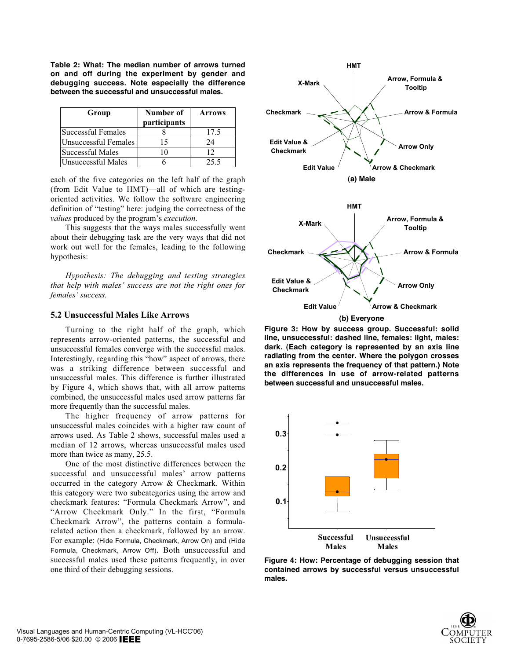**Table 2: What: The median number of arrows turned on and off during the experiment by gender and debugging success. Note especially the difference between the successful and unsuccessful males.**

| Group                | Number of<br>participants | <b>Arrows</b> |  |
|----------------------|---------------------------|---------------|--|
| Successful Females   |                           | 17.5          |  |
| Unsuccessful Females | 15                        | 24            |  |
| Successful Males     | I ( )                     | 12            |  |
| Unsuccessful Males   |                           | 25.5          |  |

each of the five categories on the left half of the graph (from Edit Value to HMT)—all of which are testingoriented activities. We follow the software engineering definition of "testing" here: judging the correctness of the values produced by the program's execution.

This suggests that the ways males successfully went about their debugging task are the very ways that did not work out well for the females, leading to the following hypothesis:

Hypothesis: The debugging and testing strategies that help with males' success are not the right ones for females' success.

### 5.2 Unsuccessful Males Like Arrows

Turning to the right half of the graph, which represents arrow-oriented patterns, the successful and unsuccessful females converge with the successful males. Interestingly, regarding this "how" aspect of arrows, there was a striking difference between successful and unsuccessful males. This difference is further illustrated by Figure 4, which shows that, with all arrow patterns combined, the unsuccessful males used arrow patterns far more frequently than the successful males.

The higher frequency of arrow patterns for unsuccessful males coincides with a higher raw count of arrows used. As Table 2 shows, successful males used a median of 12 arrows, whereas unsuccessful males used more than twice as many, 25.5.

One of the most distinctive differences between the successful and unsuccessful males' arrow patterns occurred in the category Arrow & Checkmark. Within this category were two subcategories using the arrow and checkmark features: "Formula Checkmark Arrow", and "Arrow Checkmark Only." In the first, "Formula Checkmark Arrow", the patterns contain a formularelated action then a checkmark, followed by an arrow. For example: (Hide Formula, Checkmark, Arrow On) and (Hide Formula, Checkmark, Arrow Off). Both unsuccessful and successful males used these patterns frequently, in over one third of their debugging sessions.



**Figure 3: How by success group. Successful: solid line, unsuccessful: dashed line, females: light, males: dark. (Each category is represented by an axis line radiating from the center. Where the polygon crosses an axis represents the frequency of that pattern.) Note the differences in use of arrow-related patterns between successful and unsuccessful males.**



**Figure 4: How: Percentage of debugging session that contained arrows by successful versus unsuccessful males.**

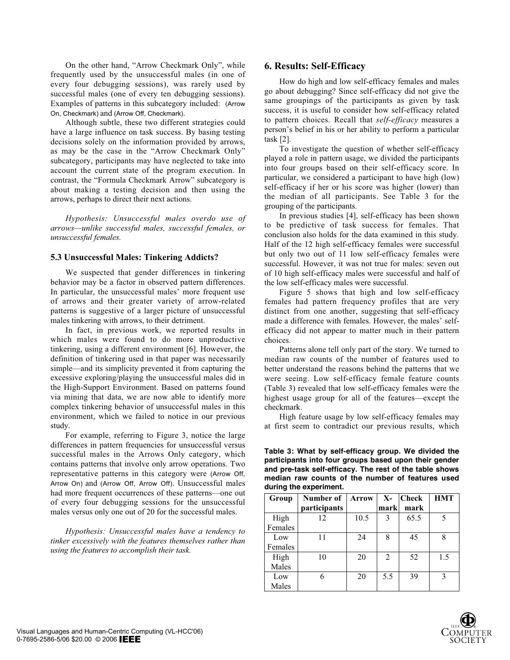On the other hand, "Arrow Checkmark Only", while frequently used by the unsuccessful males (in one of every four debugging sessions), was rarely used by successful males (one of every ten debugging sessions). Examples of patterns in this subcategory included: (Arrow On, Checkmark) and (Arrow Off, Checkmark).

Although subtle, these two different strategies could have a large influence on task success. By basing testing decisions solely on the information provided by arrows, as may be the case in the "Arrow Checkmark Only" subcategory, participants may have neglected to take into account the current state of the program execution. In contrast, the "Formula Checkmark Arrow" subcategory is about making a testing decision and then using the arrows, perhaps to direct their next actions.

Hypothesis: Unsuccessful males overdo use of arrows—unlike successful males, successful females, or unsuccessful females.

### 5.3 Unsuccessful Males: Tinkering Addicts?

We suspected that gender differences in tinkering behavior may be a factor in observed pattern differences. In particular, the unsuccessful males' more frequent use of arrows and their greater variety of arrow-related patterns is suggestive of a larger picture of unsuccessful males tinkering with arrows, to their detriment.

In fact, in previous work, we reported results in which males were found to do more unproductive tinkering, using a different environment [6]. However, the definition of tinkering used in that paper was necessarily simple—and its simplicity prevented it from capturing the excessive exploring/playing the unsuccessful males did in the High-Support Environment. Based on patterns found via mining that data, we are now able to identify more complex tinkering behavior of unsuccessful males in this environment, which we failed to notice in our previous study.

For example, referring to Figure 3, notice the large differences in pattern frequencies for unsuccessful versus successful males in the Arrows Only category, which contains patterns that involve only arrow operations. Two representative patterns in this category were (Arrow Off, Arrow On) and (Arrow Off, Arrow Off). Unsuccessful males had more frequent occurrences of these patterns—one out of every four debugging sessions for the unsuccessful males versus only one out of 20 for the successful males.

Hypothesis: Unsuccessful males have a tendency to tinker excessively with the features themselves rather than using the features to accomplish their task.

### 6. Results: Self-Efficacy

How do high and low self-efficacy females and males go about debugging? Since self-efficacy did not give the same groupings of the participants as given by task success, it is useful to consider how self-efficacy related to pattern choices. Recall that self-efficacy measures a person's belief in his or her ability to perform a particular task [2].

To investigate the question of whether self-efficacy played a role in pattern usage, we divided the participants into four groups based on their self-efficacy score. In particular, we considered a participant to have high (low) self-efficacy if her or his score was higher (lower) than the median of all participants. See Table 3 for the grouping of the participants.

In previous studies [4], self-efficacy has been shown to be predictive of task success for females. That conclusion also holds for the data examined in this study. Half of the 12 high self-efficacy females were successful but only two out of 11 low self-efficacy females were successful. However, it was not true for males: seven out of 10 high self-efficacy males were successful and half of the low self-efficacy males were successful.

Figure 5 shows that high and low self-efficacy females had pattern frequency profiles that are very distinct from one another, suggesting that self-efficacy made a difference with females. However, the males' selfefficacy did not appear to matter much in their pattern choices.

Patterns alone tell only part of the story. We turned to median raw counts of the number of features used to better understand the reasons behind the patterns that we were seeing. Low self-efficacy female feature counts (Table 3) revealed that low self-efficacy females were the highest usage group for all of the features—except the checkmark.

High feature usage by low self-efficacy females may at first seem to contradict our previous results, which

**Table 3: What by self-efficacy group. We divided the participants into four groups based upon their gender and pre-task self-efficacy. The rest of the table shows median raw counts of the number of features used during the experiment.**

| Group   | Number of    | <b>Arrow</b> | $X-$ | Check | <b>HMT</b>    |
|---------|--------------|--------------|------|-------|---------------|
|         | participants |              | mark | mark  |               |
| High    | 12           | 10.5         | 3    | 65.5  | 5             |
| Females |              |              |      |       |               |
| Low     | 11           | 24           | 8    | 45    | 8             |
| Females |              |              |      |       |               |
| High    | 10           | 20           | 2    | 52    | 1.5           |
| Males   |              |              |      |       |               |
| Low     | 6            | 20           | 5.5  | 39    | $\mathcal{E}$ |
| Males   |              |              |      |       |               |

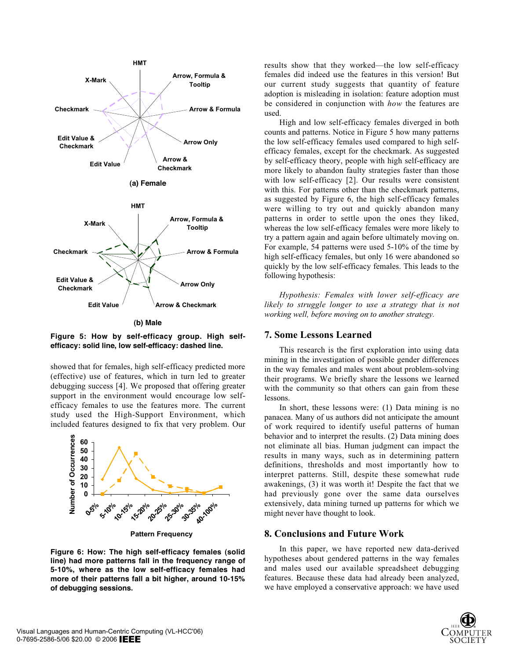

**Figure 5: How by self-efficacy group. High selfefficacy: solid line, low self-efficacy: dashed line.**

showed that for females, high self-efficacy predicted more (effective) use of features, which in turn led to greater debugging success [4]. We proposed that offering greater support in the environment would encourage low selfefficacy females to use the features more. The current study used the High-Support Environment, which included features designed to fix that very problem. Our



**Figure 6: How: The high self-efficacy females (solid line) had more patterns fall in the frequency range of 5-10%, where as the low self-efficacy females had more of their patterns fall a bit higher, around 10-15% of debugging sessions.**

results show that they worked—the low self-efficacy females did indeed use the features in this version! But our current study suggests that quantity of feature adoption is misleading in isolation: feature adoption must be considered in conjunction with how the features are used.

High and low self-efficacy females diverged in both counts and patterns. Notice in Figure 5 how many patterns the low self-efficacy females used compared to high selfefficacy females, except for the checkmark. As suggested by self-efficacy theory, people with high self-efficacy are more likely to abandon faulty strategies faster than those with low self-efficacy [2]. Our results were consistent with this. For patterns other than the checkmark patterns, as suggested by Figure 6, the high self-efficacy females were willing to try out and quickly abandon many patterns in order to settle upon the ones they liked, whereas the low self-efficacy females were more likely to try a pattern again and again before ultimately moving on. For example, 54 patterns were used 5-10% of the time by high self-efficacy females, but only 16 were abandoned so quickly by the low self-efficacy females. This leads to the following hypothesis:

Hypothesis: Females with lower self-efficacy are likely to struggle longer to use a strategy that is not working well, before moving on to another strategy.

## 7. Some Lessons Learned

This research is the first exploration into using data mining in the investigation of possible gender differences in the way females and males went about problem-solving their programs. We briefly share the lessons we learned with the community so that others can gain from these lessons.

In short, these lessons were: (1) Data mining is no panacea. Many of us authors did not anticipate the amount of work required to identify useful patterns of human behavior and to interpret the results. (2) Data mining does not eliminate all bias. Human judgment can impact the results in many ways, such as in determining pattern definitions, thresholds and most importantly how to interpret patterns. Still, despite these somewhat rude awakenings, (3) it was worth it! Despite the fact that we had previously gone over the same data ourselves extensively, data mining turned up patterns for which we might never have thought to look.

## 8. Conclusions and Future Work

In this paper, we have reported new data-derived hypotheses about gendered patterns in the way females and males used our available spreadsheet debugging features. Because these data had already been analyzed, we have employed a conservative approach: we have used